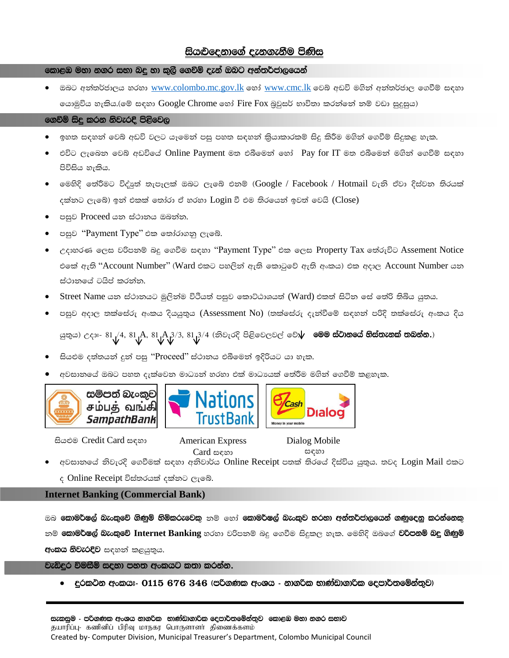# සියළුදෙනාගේ දැනගැනීම පිණිස

# කොළඹ මහා නගර සභා බදු හා කුලි ගෙවීම් දැන් ඔබට අන්තර්ජාලයෙන්

ඔබට අන්තර්ජාලය හරහා www.colombo.mc.gov.lk හෝ www.cmc.lk වෙබ් අඩවි මගින් අන්තර්ජාල ගෙවීම් සඳහා යොමුවිය හැකිය.(මේ සඳහා Google Chrome හෝ Fire Fox බුවුසර් භාවිතා කරත්තේ තම් වඩා සුදුසුය)

# ගෙවීම් සිදු කරන නිවැරදි පිළිවෙල

- 
- එවිට ලැබෙන වෙබ් අඩවියේ Online Payment මත එබීමෙන් හෝ Pay for IT මත එබීමෙන් මගින් ගෙවීම් සඳහා පිවිසිය හැකිය.
- මෙහිදි තේරීමට විද්යුත් තැපෑලක් ඔබට ලැබේ එනම් (Google / Facebook / Hotmail වැනි ඒවා දිස්වන තිරයක් දක්නට ලැබේ) ඉන් එකක් තෝරා ඒ හරහා Login වී එම තිරයෙන් ඉවත් වෙයි (Close)
- පසුව Proceed යන ස්ථානය ඔබන්න.
- පසුව "Payment Type" එක තෝරාගනු ලැබේ.
- උදාහරණ ලෙස වරිපතම් බදු ගෙවීම සඳහා ''Payment Type'' එක ලෙස Property Tax තේරුවිට Assement Notice එකේ ඇති "Account Number" (Ward එකට පහලින් ඇති කොටුවේ ඇති අංකය) එක අදාල Account Number යන ස්ථානයේ ටයිප් කරන්න.
- Street Name යන ස්ථානයට මුලින්ම විථියත් පසුව කොට්ඨාශයත් (Ward) එකත් සිටින සේ තේරි තිබිය යුතය.
- පසුව අදාල තක්ෂස්රු අංකය දියයුතුය (Assessment No) (තක්සේරු දැන්වීමේ සඳහන් පරිදි තක්ෂස්රු අංකය දිය

යුතුය) උදාඃ- 81 /4, 81 A, 81 A 3/3, 81  $3/4$  (නිවැරදි පිළිවෙලවල් වේ $\psi$  **මෙම ස්ථානයේ හිස්තැනක් තබන්න.**)

- සියළුම දත්තයන් දුන් පසු ''Proceed'' ස්ථානය එබීමෙන් ඉදිරියට යා හැක.
- අවසානයේ ඔබට පහත දැක්වෙන මාධානේ හරහා එක් මාධායක් තේරීම මගින් ගෙවීම් කළහැක.









සියළුම Credit Card සඳහා

**American Express** Card සඳහා

Dialog Mobile සඳහා

අවසානයේ නිවැරදි ගෙවීමක් සඳහා අනිවාර්ය Online Receipt පතක් තිරයේ දිස්විය යුතුය. තවද Login Mail එකට

ද Online Receipt විස්තරයක් දක්නට ලැබේ.

## **Internet Banking (Commercial Bank)**

ඔබ **කොමර්ෂල් බැංකුවේ ගිණුම් හිමිකරුවෙකු** නම් හෝ **කොමර්ෂල් බැංකුව හරහා අන්තර්ජාලයෙන් ගණුදෙනු කරන්නෙකු** නම් **කොමර්ෂල් බැංකුවේ Internet Banking** හරහා වරිපනම් බදු ගෙවීම සිදුකල හැක. මෙහිදි ඔබගේ **වරිපනම් බදු ගිණුම්** අංකය නිවැරදිව සඳහන් කළයුතුය.

වැඩිදුර විමසීම් සදහා පහත අංකයට කතා කරන්න.

| දරකථන අංකයඃ- 0115 676 346 (පරිගණක අංශය - නාගරික භාණ්ඩාගාරික දෙපාර්තමේන්තුව)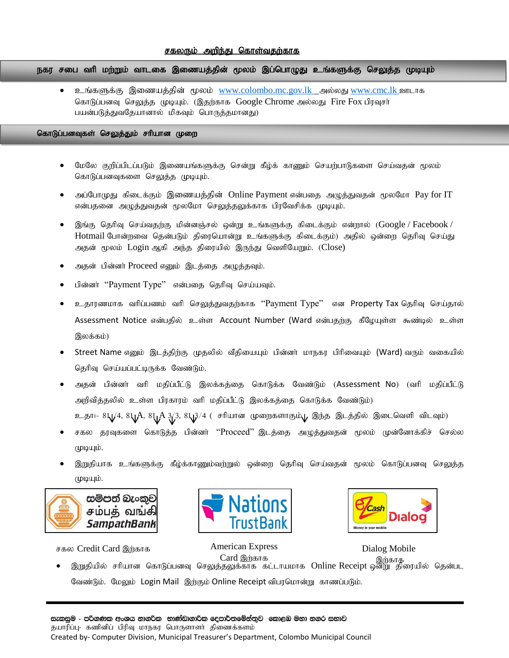### சகலரும் அறிந்து கொள்வதற்காக

.<br>நகர சபை வரி மற்றும் வாடகை இணையத்தின் மூலம் இப்பொழுது உங்களுக்கு செலுத்த முடியும்

உங்களுக்கு இணையத்தின் மூலம் [www.colombo.mc.gov.lk](http://www.colombo.mc.gov.lk/) அல்லது [www.cmc.lk](http://www.cmc.lk/) ஊடாக கொடுப்பனவு செலுத்த முடியும். (இதற்காக Google Chrome அல்லது Fire Fox பிரவுசர் பயன்படுத்துவதேயானால் மிகவும் பொருத்தமானது)

#### கொடுப்பனவுகள் செலுத்தும் சரியான முறை

- மேலே குறிப்பிடப்படும் இணையங்களுக்கு சென்று கீழ்க் காணும் செயற்பாடுகளை செய்வதன் மூலம் கொடுப்பனவுகளை செலுத்த முடியும்.
- அப்போமுது கிடைக்கும் இணையத்தின் Online Payment என்பதை அழுத்துவதன் மூலமோ Pay for IT என்பதனை அழுத்துவதன் மூலமோ செலுத்தலுக்காக பிரவேசிக்க முடியும்.
- இங்கு தெரிவு செய்வதற்கு மின்னஞ்சல் ஒன்று உங்களுக்கு கிடைக்கும் என்றால் (Google / Facebook / Hotmail போன்றவை தென்படும் திரையொன்று உங்களுக்கு கிடைக்கும்) அதில் ஒன்றை தெரிவு செய்து அதன் மூலம் Login ஆகி அந்த திரையில் இருந்து வெளியேறும். (Close)
- அதன் பின்னர் Proceed எனும் இடத்தை அழுத்தவும்.
- பின்னர் "Payment Type" என்பதை தெரிவு செய்யவும்.
- உதாரணமாக வரிப்பணம் வரி செலுத்துவதற்காக ''Payment Type'' என Property Tax தெரிவு செய்தால் Assessment Notice என்பதில் உள்ள Account Number (Ward என்பதற்கு கீழேயுள்ள கூண்டில் உள்ள இலக்கம்)
- Street Name எனும் இடத்திற்கு முதலில் வீதியையும் பின்னா் மாநகர பிரிவையும் (Ward) வரும் வகையில் தெரிவு செய்யப்பட்டிருக்க வேண்டும்.
- அதன் பின்னா் வரி மதிப்பீட்டு இலக்கத்தை கொடுக்க வேண்டும் (Assessment No) (வரி மதிப்பீட்டு அறிவித்தலில் உள்ள பிரகாரம் வரி மதிப்பீட்டு இலக்கத்தை கொடுக்க வேண்டும்)
	- உதா:- 81/4, 81/ A, 81/ A 3/3, 81/3/4 ( சரியான முறைகளாகும் பு இந்த இடத்தில் இடைவெளி விடவும்)
- சகல தரவுகளை கொடுத்த பின்னா் ''Proceed'' இடத்தை அழுத்துவதன் மூலம் முன்னோக்கிச் செல்ல முடியும்.
- இறுதியாக உங்களுக்கு கீழ்க்காணும்வற்றுல் ஒன்றை தெரிவு செய்வதன் மூலம் கொடுப்பனவு செலுத்த  $(\mu\omega\mu)$ .







Dialog Mobile

சகல Credit Card இற்காக American Express

• இறுதியில் சரியான கொடுப்பனவு செலுத்தலுக்காக கட்டாயமாக Online Receipt ஒன்று திரையில் தென்பட வேண்டும். மேலும் Login Mail இற்கும் Online Receipt விபரமொன்று காணப்படும். Card இற்காக<br>வெளி வெளி வெளியாக இற்காத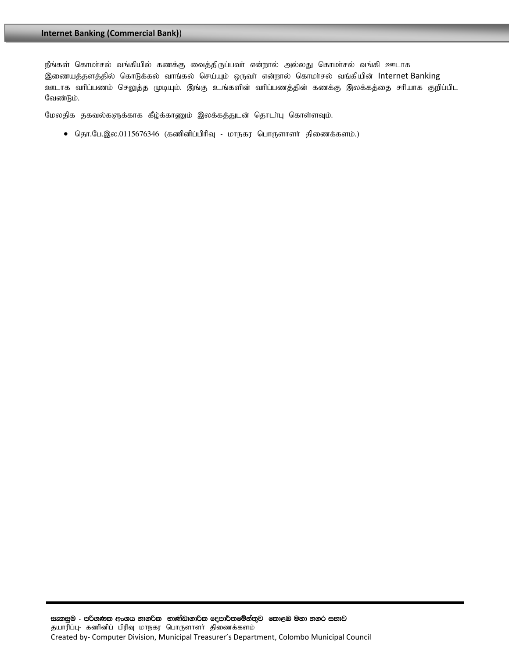நீங்கள் கொமா்சல் வங்கியில் கணக்கு வைத்திருப்பவா் என்றால் அல்லது கொமா்சல் வங்கி ஊடாக இணையத்தளத்தில் கொடுக்கல் வாங்கல் செய்யும் ஒருவா் என்றால் கொமா்சல் வங்கியின் Internet Banking ஊடாக வரிப்பணம் செலுத்த முடியும். இங்கு உங்களின் வரிப்பணத்தின் கணக்கு இலக்கத்தை சரியாக குறிப்பிட வேண்டும்.

மேலதிக தகவல்களுக்காக கீழ்க்காணும் இலக்கத்துடன் தொடா்பு கொள்ளவும்.

 $\bullet$  தொ.பே.இல.0115676346 (கணினிப்பிரிவு - மாநகர பொருளாளர் திணைக்களம்.)